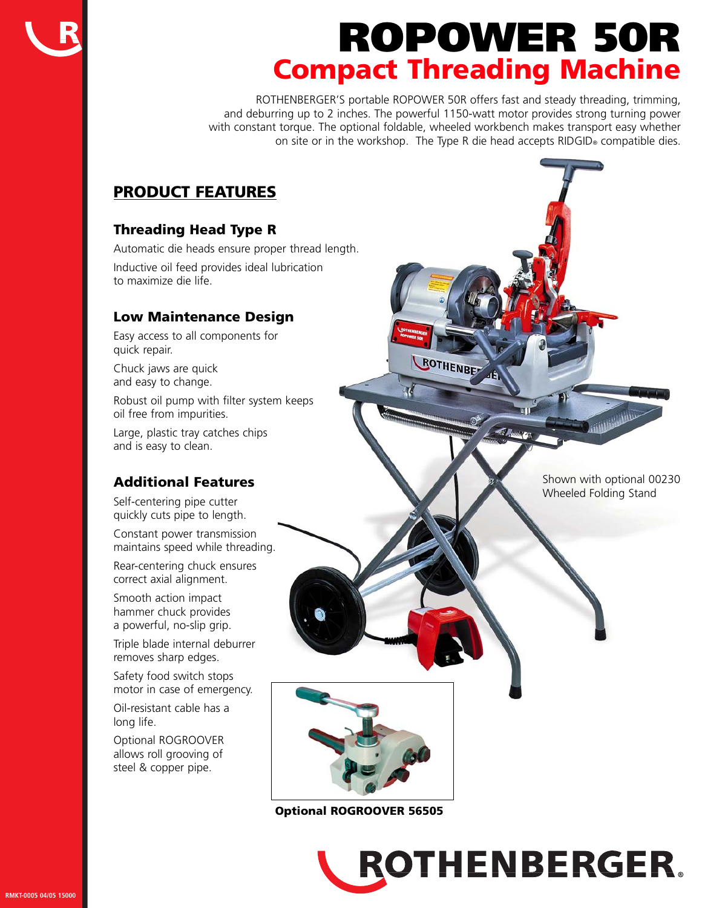# **ROPOWER 50R Compact Threading Machine**

ROTHENBERGER'S portable ROPOWER 50R offers fast and steady threading, trimming, and deburring up to 2 inches. The powerful 1150-watt motor provides strong turning power with constant torque. The optional foldable, wheeled workbench makes transport easy whether on site or in the workshop. The Type R die head accepts RIDGID® compatible dies.

ROTHENBET

### **PRODUCT FEATURES**

### **Threading Head Type R**

Automatic die heads ensure proper thread length. Inductive oil feed provides ideal lubrication to maximize die life.

### **Low Maintenance Design**

Easy access to all components for quick repair.

Chuck jaws are quick and easy to change.

Robust oil pump with filter system keeps oil free from impurities.

Large, plastic tray catches chips and is easy to clean.

### **Additional Features**

Self-centering pipe cutter quickly cuts pipe to length.

Constant power transmission maintains speed while threading.

Rear-centering chuck ensures correct axial alignment.

Smooth action impact hammer chuck provides a powerful, no-slip grip.

Triple blade internal deburrer removes sharp edges.

Safety food switch stops motor in case of emergency.

Oil-resistant cable has a long life.

Optional ROGROOVER allows roll grooving of steel & copper pipe.

**Optional ROGROOVER 56505**

Shown with optional 00230 Wheeled Folding Stand